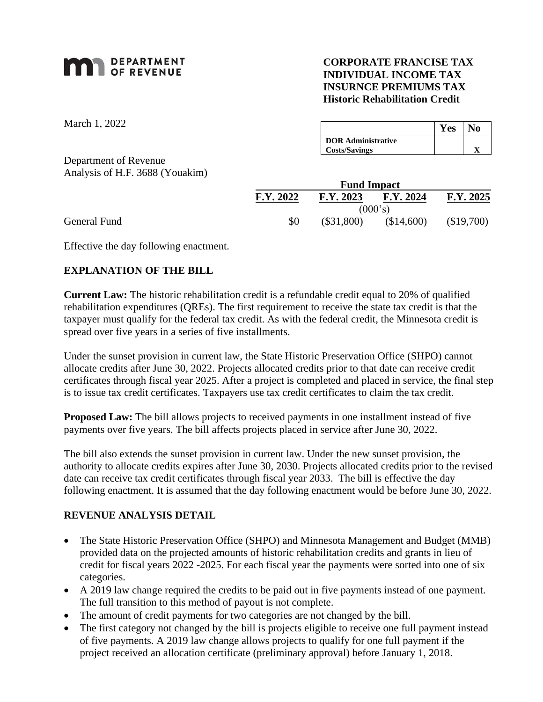# **MAN** DEPARTMENT

## **CORPORATE FRANCISE TAX INDIVIDUAL INCOME TAX INSURNCE PREMIUMS TAX Historic Rehabilitation Credit**

March 1, 2022

Department of Revenue Analysis of H.F. 3688 (Youakim)

|                           | Yes | ÑΟ |
|---------------------------|-----|----|
| <b>DOR</b> Administrative |     |    |
| <b>Costs/Savings</b>      |     |    |

| <b>Fund Impact</b> |              |            |            |  |  |
|--------------------|--------------|------------|------------|--|--|
| F.Y. 2022          | F.Y. 2023    | F.Y. 2024  | F.Y. 2025  |  |  |
|                    |              | (000's)    |            |  |  |
| \$0                | $(\$31,800)$ | (\$14,600) | (\$19,700) |  |  |

General Fund

Effective the day following enactment.

## **EXPLANATION OF THE BILL**

**Current Law:** The historic rehabilitation credit is a refundable credit equal to 20% of qualified rehabilitation expenditures (QREs). The first requirement to receive the state tax credit is that the taxpayer must qualify for the federal tax credit. As with the federal credit, the Minnesota credit is spread over five years in a series of five installments.

Under the sunset provision in current law, the State Historic Preservation Office (SHPO) cannot allocate credits after June 30, 2022. Projects allocated credits prior to that date can receive credit certificates through fiscal year 2025. After a project is completed and placed in service, the final step is to issue tax credit certificates. Taxpayers use tax credit certificates to claim the tax credit.

**Proposed Law:** The bill allows projects to received payments in one installment instead of five payments over five years. The bill affects projects placed in service after June 30, 2022.

The bill also extends the sunset provision in current law. Under the new sunset provision, the authority to allocate credits expires after June 30, 2030. Projects allocated credits prior to the revised date can receive tax credit certificates through fiscal year 2033. The bill is effective the day following enactment. It is assumed that the day following enactment would be before June 30, 2022.

## **REVENUE ANALYSIS DETAIL**

- The State Historic Preservation Office (SHPO) and Minnesota Management and Budget (MMB) provided data on the projected amounts of historic rehabilitation credits and grants in lieu of credit for fiscal years 2022 -2025. For each fiscal year the payments were sorted into one of six categories.
- A 2019 law change required the credits to be paid out in five payments instead of one payment. The full transition to this method of payout is not complete.
- The amount of credit payments for two categories are not changed by the bill.
- The first category not changed by the bill is projects eligible to receive one full payment instead of five payments. A 2019 law change allows projects to qualify for one full payment if the project received an allocation certificate (preliminary approval) before January 1, 2018.